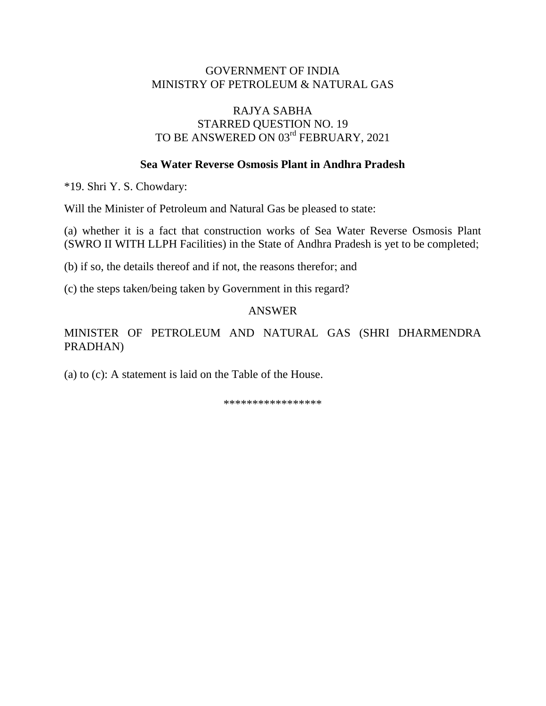# GOVERNMENT OF INDIA MINISTRY OF PETROLEUM & NATURAL GAS

# RAJYA SABHA STARRED QUESTION NO. 19 TO BE ANSWERED ON 03rd FEBRUARY, 2021

## **Sea Water Reverse Osmosis Plant in Andhra Pradesh**

\*19. Shri Y. S. Chowdary:

Will the Minister of Petroleum and Natural Gas be pleased to state:

(a) whether it is a fact that construction works of Sea Water Reverse Osmosis Plant (SWRO II WITH LLPH Facilities) in the State of Andhra Pradesh is yet to be completed;

(b) if so, the details thereof and if not, the reasons therefor; and

(c) the steps taken/being taken by Government in this regard?

#### ANSWER

MINISTER OF PETROLEUM AND NATURAL GAS (SHRI DHARMENDRA PRADHAN)

(a) to (c): A statement is laid on the Table of the House.

\*\*\*\*\*\*\*\*\*\*\*\*\*\*\*\*\*